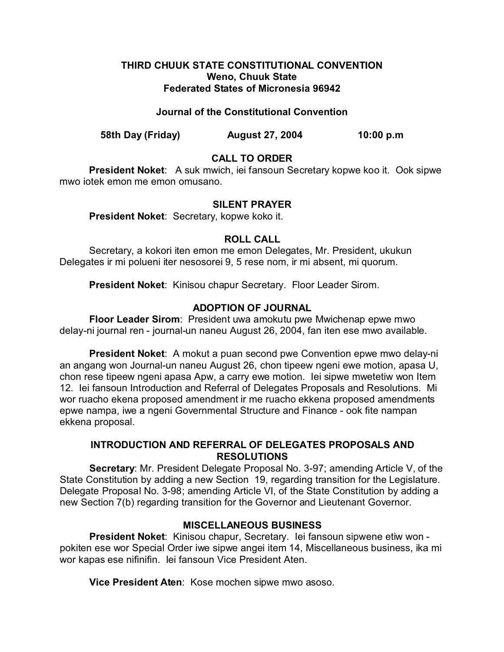## **THIRD CHUUK STATE CONSTITUTIONAL CONVENTION Weno, Chuuk State Federated States of Micronesia 96942**

## **Journal of the Constitutional Convention**

**58th Day (Friday) August 27, 2004 10:00 p.m**

# **CALL TO ORDER**

**President Noket**: A suk mwich, iei fansoun Secretary kopwe koo it. Ook sipwe mwo iotek emon me emon omusano.

## **SILENT PRAYER**

**President Noket**: Secretary, kopwe koko it.

## **ROLL CALL**

Secretary, a kokori iten emon me emon Delegates, Mr. President, ukukun Delegates ir mi polueni iter nesosorei 9, 5 rese nom, ir mi absent, mi quorum.

**President Noket**: Kinisou chapur Secretary. Floor Leader Sirom.

## **ADOPTION OF JOURNAL**

**Floor Leader Sirom**: President uwa amokutu pwe Mwichenap epwe mwo delay-ni journal ren - journal-un naneu August 26, 2004, fan iten ese mwo available.

**President Noket**: A mokut a puan second pwe Convention epwe mwo delay-ni an angang won Journal-un naneu August 26, chon tipeew ngeni ewe motion, apasa U, chon rese tipeew ngeni apasa Apw, a carry ewe motion. Iei sipwe mwetetiw won Item 12. Iei fansoun Introduction and Referral of Delegates Proposals and Resolutions. Mi wor ruacho ekena proposed amendment ir me ruacho ekkena proposed amendments epwe nampa, iwe a ngeni Governmental Structure and Finance - ook fite nampan ekkena proposal.

## **INTRODUCTION AND REFERRAL OF DELEGATES PROPOSALS AND RESOLUTIONS**

**Secretary:** Mr. President Delegate Proposal No. 3-97; amending Article V, of the State Constitution by adding a new Section 19, regarding transition for the Legislature. Delegate Proposal No. 3-98; amending Article VI, of the State Constitution by adding a new Section 7(b) regarding transition for the Governor and Lieutenant Governor.

## **MISCELLANEOUS BUSINESS**

**President Noket**: Kinisou chapur, Secretary. Iei fansoun sipwene etiw won pokiten ese wor Special Order iwe sipwe angei item 14, Miscellaneous business, ika mi wor kapas ese nifinifin. Iei fansoun Vice President Aten.

**Vice President Aten**: Kose mochen sipwe mwo asoso.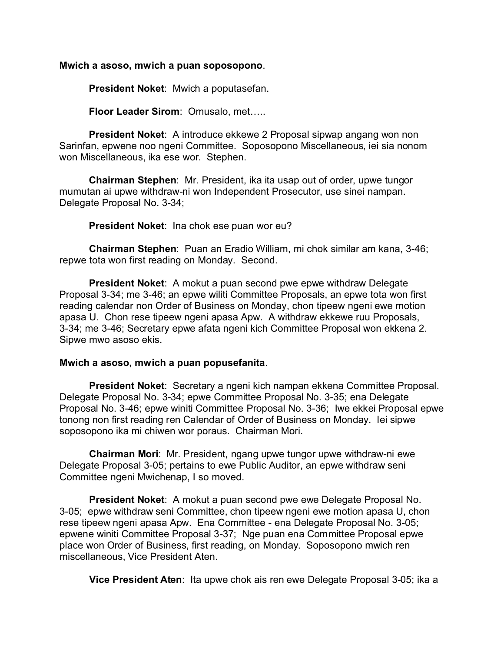#### **Mwich a asoso, mwich a puan soposopono**.

**President Noket**: Mwich a poputasefan.

**Floor Leader Sirom**: Omusalo, met…..

**President Noket**: A introduce ekkewe 2 Proposal sipwap angang won non Sarinfan, epwene noo ngeni Committee. Soposopono Miscellaneous, iei sia nonom won Miscellaneous, ika ese wor. Stephen.

**Chairman Stephen**: Mr. President, ika ita usap out of order, upwe tungor mumutan ai upwe withdraw-ni won Independent Prosecutor, use sinei nampan. Delegate Proposal No. 3-34;

**President Noket**: Ina chok ese puan wor eu?

**Chairman Stephen**: Puan an Eradio William, mi chok similar am kana, 3-46; repwe tota won first reading on Monday. Second.

**President Noket**: A mokut a puan second pwe epwe withdraw Delegate Proposal 3-34; me 3-46; an epwe wiliti Committee Proposals, an epwe tota won first reading calendar non Order of Business on Monday, chon tipeew ngeni ewe motion apasa U. Chon rese tipeew ngeni apasa Apw. A withdraw ekkewe ruu Proposals, 3-34; me 3-46; Secretary epwe afata ngeni kich Committee Proposal won ekkena 2. Sipwe mwo asoso ekis.

#### **Mwich a asoso, mwich a puan popusefanita**.

**President Noket**: Secretary a ngeni kich nampan ekkena Committee Proposal. Delegate Proposal No. 3-34; epwe Committee Proposal No. 3-35; ena Delegate Proposal No. 3-46; epwe winiti Committee Proposal No. 3-36; Iwe ekkei Proposal epwe tonong non first reading ren Calendar of Order of Business on Monday. Iei sipwe soposopono ika mi chiwen wor poraus. Chairman Mori.

**Chairman Mori**: Mr. President, ngang upwe tungor upwe withdraw-ni ewe Delegate Proposal 3-05; pertains to ewe Public Auditor, an epwe withdraw seni Committee ngeni Mwichenap, I so moved.

**President Noket**: A mokut a puan second pwe ewe Delegate Proposal No. 3-05; epwe withdraw seni Committee, chon tipeew ngeni ewe motion apasa U, chon rese tipeew ngeni apasa Apw. Ena Committee - ena Delegate Proposal No. 3-05; epwene winiti Committee Proposal 3-37; Nge puan ena Committee Proposal epwe place won Order of Business, first reading, on Monday. Soposopono mwich ren miscellaneous, Vice President Aten.

**Vice President Aten**: Ita upwe chok ais ren ewe Delegate Proposal 3-05; ika a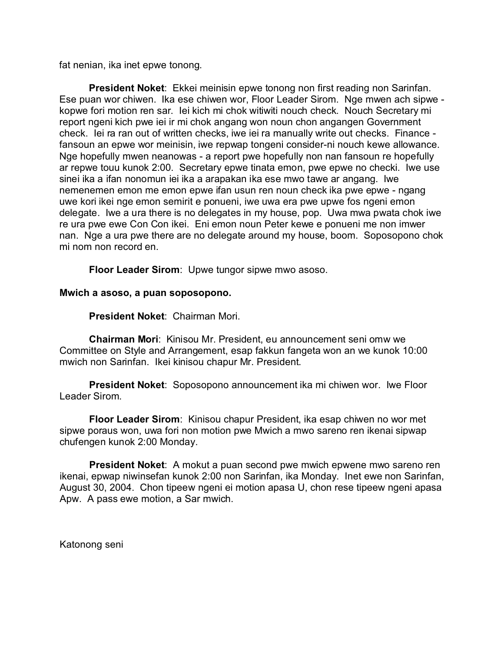fat nenian, ika inet epwe tonong.

**President Noket**: Ekkei meinisin epwe tonong non first reading non Sarinfan. Ese puan wor chiwen. Ika ese chiwen wor, Floor Leader Sirom. Nge mwen ach sipwe kopwe fori motion ren sar. Iei kich mi chok witiwiti nouch check. Nouch Secretary mi report ngeni kich pwe iei ir mi chok angang won noun chon angangen Government check. Iei ra ran out of written checks, iwe iei ra manually write out checks. Finance fansoun an epwe wor meinisin, iwe repwap tongeni consider-ni nouch kewe allowance. Nge hopefully mwen neanowas - a report pwe hopefully non nan fansoun re hopefully ar repwe touu kunok 2:00. Secretary epwe tinata emon, pwe epwe no checki. Iwe use sinei ika a ifan nonomun iei ika a arapakan ika ese mwo tawe ar angang. Iwe nemenemen emon me emon epwe ifan usun ren noun check ika pwe epwe - ngang uwe kori ikei nge emon semirit e ponueni, iwe uwa era pwe upwe fos ngeni emon delegate. Iwe a ura there is no delegates in my house, pop. Uwa mwa pwata chok iwe re ura pwe ewe Con Con ikei. Eni emon noun Peter kewe e ponueni me non imwer nan. Nge a ura pwe there are no delegate around my house, boom. Soposopono chok mi nom non record en.

**Floor Leader Sirom**: Upwe tungor sipwe mwo asoso.

#### **Mwich a asoso, a puan soposopono.**

**President Noket**: Chairman Mori.

**Chairman Mori**: Kinisou Mr. President, eu announcement seni omw we Committee on Style and Arrangement, esap fakkun fangeta won an we kunok 10:00 mwich non Sarinfan. Ikei kinisou chapur Mr. President.

**President Noket**: Soposopono announcement ika mi chiwen wor. Iwe Floor Leader Sirom.

**Floor Leader Sirom**: Kinisou chapur President, ika esap chiwen no wor met sipwe poraus won, uwa fori non motion pwe Mwich a mwo sareno ren ikenai sipwap chufengen kunok 2:00 Monday.

**President Noket**: A mokut a puan second pwe mwich epwene mwo sareno ren ikenai, epwap niwinsefan kunok 2:00 non Sarinfan, ika Monday. Inet ewe non Sarinfan, August 30, 2004. Chon tipeew ngeni ei motion apasa U, chon rese tipeew ngeni apasa Apw. A pass ewe motion, a Sar mwich.

Katonong seni